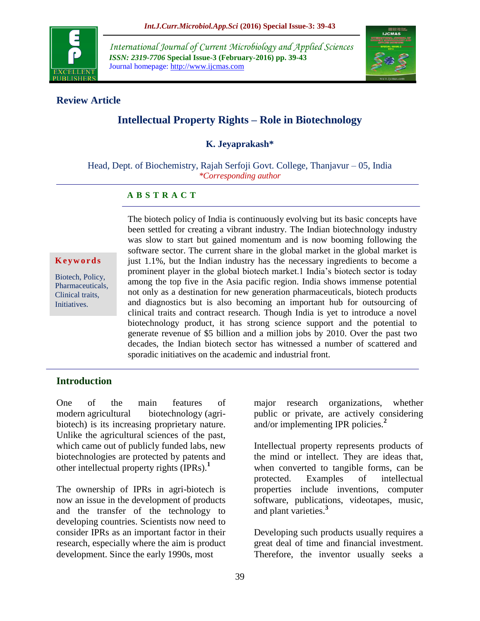

*International Journal of Current Microbiology and Applied Sciences ISSN: 2319-7706* **Special Issue-3 (February-2016) pp. 39-43** Journal homepage: http://www.ijcmas.com



## **Review Article**

# **Intellectual Property Rights – Role in Biotechnology**

#### **K. Jeyaprakash\***

Head, Dept. of Biochemistry, Rajah Serfoji Govt. College, Thanjavur – 05, India *\*Corresponding author*

#### **A B S T R A C T**

#### **K e y w o r d s**

Biotech, Policy, Pharmaceuticals, Clinical traits, Initiatives.

The biotech policy of India is continuously evolving but its basic concepts have been settled for creating a vibrant industry. The Indian biotechnology industry was slow to start but gained momentum and is now booming following the software sector. The current share in the global market in the global market is just 1.1%, but the Indian industry has the necessary ingredients to become a prominent player in the global biotech market.1 India's biotech sector is today among the top five in the Asia pacific region. India shows immense potential not only as a destination for new generation pharmaceuticals, biotech products and diagnostics but is also becoming an important hub for outsourcing of clinical traits and contract research. Though India is yet to introduce a novel biotechnology product, it has strong science support and the potential to generate revenue of \$5 billion and a million jobs by 2010. Over the past two decades, the Indian biotech sector has witnessed a number of scattered and sporadic initiatives on the academic and industrial front.

## **Introduction**

One of the main features of modern [agricultural biotechnology](http://www.isaaa.org/resources/publications/agricultural_biotechnology/download/default.asp) (agribiotech) is its increasing proprietary nature. Unlike the agricultural sciences of the past, which came out of publicly funded labs, new biotechnologies are protected by patents and other intellectual property rights (IPRs).**<sup>1</sup>**

The ownership of IPRs in agri-biotech is now an issue in the development of products and the transfer of the technology to developing countries. Scientists now need to consider IPRs as an important factor in their research, especially where the aim is product development. Since the early 1990s, most

major research organizations, whether public or private, are actively considering and/or implementing IPR policies.**<sup>2</sup>**

Intellectual property represents products of the mind or intellect. They are ideas that, when converted to tangible forms, can be protected. Examples of intellectual properties include inventions, computer software, publications, videotapes, music, and plant varieties.**<sup>3</sup>**

Developing such products usually requires a great deal of time and financial investment. Therefore, the inventor usually seeks a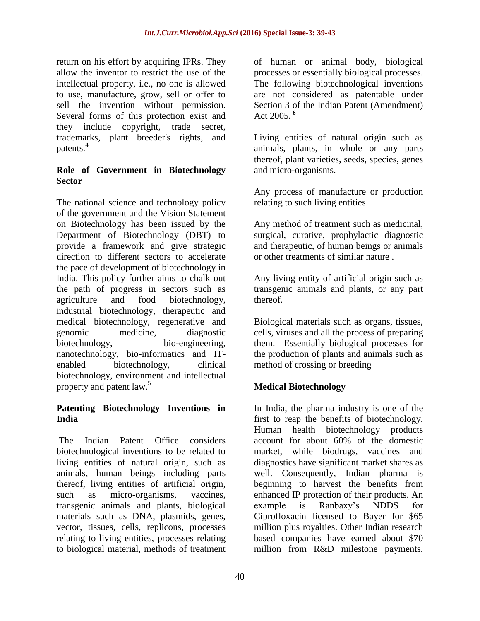return on his effort by acquiring IPRs. They allow the inventor to restrict the use of the intellectual property, i.e., no one is allowed to use, manufacture, grow, sell or offer to sell the invention without permission. Several forms of this protection exist and they include copyright, trade secret, trademarks, plant breeder's rights, and patents.**<sup>4</sup>**

## **Role of Government in Biotechnology Sector**

The national science and technology policy of the government and the Vision Statement on Biotechnology has been issued by the Department of Biotechnology (DBT) to provide a framework and give strategic direction to different sectors to accelerate the pace of development of biotechnology in India. This policy further aims to chalk out the path of progress in sectors such as agriculture and food biotechnology, industrial biotechnology, therapeutic and medical biotechnology, regenerative and genomic medicine, diagnostic biotechnology, bio-engineering, nanotechnology, bio-informatics and ITenabled biotechnology, clinical biotechnology, environment and intellectual property and patent law.<sup>5</sup>

## **Patenting Biotechnology Inventions in India**

The Indian Patent Office considers biotechnological inventions to be related to living entities of natural origin, such as animals, human beings including parts thereof, living entities of artificial origin, such as micro-organisms, vaccines, transgenic animals and plants, biological materials such as DNA, plasmids, genes, vector, tissues, cells, replicons, processes relating to living entities, processes relating to biological material, methods of treatment

of human or animal body, biological processes or essentially biological processes. The following biotechnological inventions are not considered as patentable under Section 3 of the Indian Patent (Amendment) Act 2005**. 6**

Living entities of natural origin such as animals, plants, in whole or any parts thereof, plant varieties, seeds, species, genes and micro-organisms.

Any process of manufacture or production relating to such living entities

Any method of treatment such as medicinal, surgical, curative, prophylactic diagnostic and therapeutic, of human beings or animals or other treatments of similar nature .

Any living entity of artificial origin such as transgenic animals and plants, or any part thereof.

Biological materials such as organs, tissues, cells, viruses and all the process of preparing them. Essentially biological processes for the production of plants and animals such as method of crossing or breeding

# **Medical Biotechnology**

In India, the pharma industry is one of the first to reap the benefits of biotechnology. Human health biotechnology products account for about 60% of the domestic market, while biodrugs, vaccines and diagnostics have significant market shares as well. Consequently, Indian pharma is beginning to harvest the benefits from enhanced IP protection of their products. An example is Ranbaxy's NDDS for Ciprofloxacin licensed to Bayer for \$65 million plus royalties. Other Indian research based companies have earned about \$70 million from R&D milestone payments.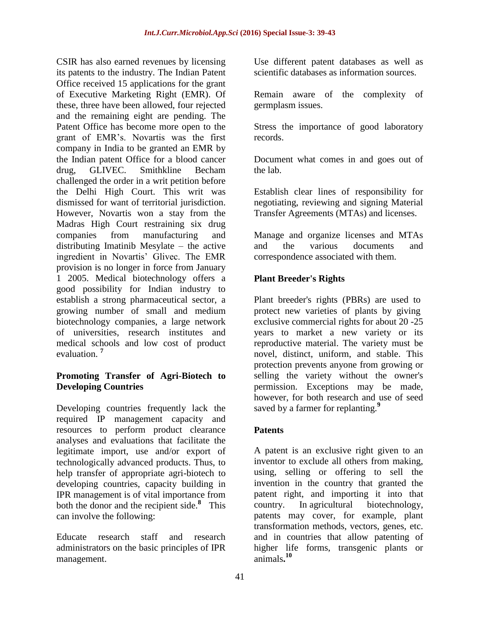CSIR has also earned revenues by licensing its patents to the industry. The Indian Patent Office received 15 applications for the grant of Executive Marketing Right (EMR). Of these, three have been allowed, four rejected and the remaining eight are pending. The Patent Office has become more open to the grant of EMR's. Novartis was the first company in India to be granted an EMR by the Indian patent Office for a blood cancer drug, GLIVEC. Smithkline Becham challenged the order in a writ petition before the Delhi High Court. This writ was dismissed for want of territorial jurisdiction. However, Novartis won a stay from the Madras High Court restraining six drug companies from manufacturing and distributing Imatinib Mesylate – the active ingredient in Novartis' Glivec. The EMR provision is no longer in force from January 1 2005. Medical biotechnology offers a good possibility for Indian industry to establish a strong pharmaceutical sector, a growing number of small and medium biotechnology companies, a large network of universities, research institutes and medical schools and low cost of product evaluation. **<sup>7</sup>**

## **Promoting Transfer of Agri-Biotech to Developing Countries**

Developing countries frequently lack the required IP management capacity and resources to perform product clearance analyses and evaluations that facilitate the legitimate import, use and/or export of technologically advanced products. Thus, to help transfer of appropriate agri-biotech to developing countries, capacity building in IPR management is of vital importance from both the donor and the recipient side.**<sup>8</sup>** This can involve the following:

Educate research staff and research administrators on the basic principles of IPR management.

Use different patent databases as well as scientific databases as information sources.

Remain aware of the complexity of germplasm issues.

Stress the importance of good laboratory records.

Document what comes in and goes out of the lab.

Establish clear lines of responsibility for negotiating, reviewing and signing Material Transfer Agreements (MTAs) and licenses.

Manage and organize licenses and MTAs and the various documents and correspondence associated with them.

## **Plant Breeder's Rights**

Plant breeder's rights (PBRs) are used to protect new varieties of plants by giving exclusive commercial rights for about 20 -25 years to market a new variety or its reproductive material. The variety must be novel, distinct, uniform, and stable. This protection prevents anyone from growing or selling the variety without the owner's permission. Exceptions may be made, however, for both research and use of seed saved by a farmer for replanting.**<sup>9</sup>**

## **Patents**

A patent is an exclusive right given to an inventor to exclude all others from making, using, selling or offering to sell the invention in the country that granted the patent right, and importing it into that country. In [agricultural biotechnology,](http://www.isaaa.org/resources/publications/agricultural_biotechnology/download/default.asp) patents may cover, for example, plant transformation methods, vectors, genes, etc. and in countries that allow patenting of higher life forms, transgenic plants or animals**. 10**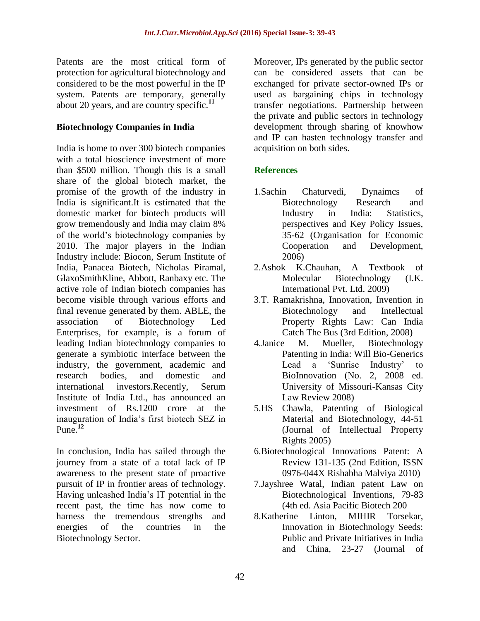Patents are the most critical form of protection for agricultural biotechnology and considered to be the most powerful in the IP system. Patents are temporary, generally about 20 years, and are country specific.**<sup>11</sup>**

## **Biotechnology Companies in India**

India is home to over 300 biotech companies with a total bioscience investment of more than \$500 million. Though this is a small share of the global biotech market, the promise of the growth of the industry in India is significant.It is estimated that the domestic market for biotech products will grow tremendously and India may claim 8% of the world's biotechnology companies by 2010. The major players in the Indian Industry include: Biocon, Serum Institute of India, Panacea Biotech, Nicholas Piramal, GlaxoSmithKline, Abbott, Ranbaxy etc. The active role of Indian biotech companies has become visible through various efforts and final revenue generated by them. ABLE, the association of Biotechnology Led Enterprises, for example, is a forum of leading Indian biotechnology companies to generate a symbiotic interface between the industry, the government, academic and research bodies, and domestic and international investors.Recently, Serum Institute of India Ltd., has announced an investment of Rs.1200 crore at the inauguration of India's first biotech SEZ in Pune.**<sup>12</sup>**

In conclusion, India has sailed through the journey from a state of a total lack of IP awareness to the present state of proactive pursuit of IP in frontier areas of technology. Having unleashed India's IT potential in the recent past, the time has now come to harness the tremendous strengths and energies of the countries in the Biotechnology Sector.

Moreover, IPs generated by the public sector can be considered assets that can be exchanged for private sector-owned IPs or used as bargaining chips in technology transfer negotiations. Partnership between the private and public sectors in technology development through sharing of knowhow and IP can hasten technology transfer and acquisition on both sides.

## **References**

- 1.Sachin Chaturvedi, Dynaimcs of Biotechnology Research and Industry in India: Statistics, perspectives and Key Policy Issues, 35-62 (Organisation for Economic Cooperation and Development, 2006)
- 2.Ashok K.Chauhan, A Textbook of Molecular Biotechnology (I.K. International Pvt. Ltd. 2009)
- 3.T. Ramakrishna, Innovation, Invention in Biotechnology and Intellectual Property Rights Law: Can India Catch The Bus (3rd Edition, 2008)
- 4.Janice M. Mueller, Biotechnology Patenting in India: Will Bio-Generics Lead a 'Sunrise Industry' to BioInnovation (No. 2, 2008 ed. University of Missouri-Kansas City Law Review 2008)
- 5.HS Chawla, Patenting of Biological Material and Biotechnology, 44-51 (Journal of Intellectual Property Rights 2005)
- 6.Biotechnological Innovations Patent: A Review 131-135 (2nd Edition, ISSN 0976-044X Rishabha Malviya 2010)
- 7.Jayshree Watal, Indian patent Law on Biotechnological Inventions, 79-83 (4th ed. Asia Pacific Biotech 200
- 8.Katherine Linton, MIHIR Torsekar, Innovation in Biotechnology Seeds: Public and Private Initiatives in India and China, 23-27 (Journal of